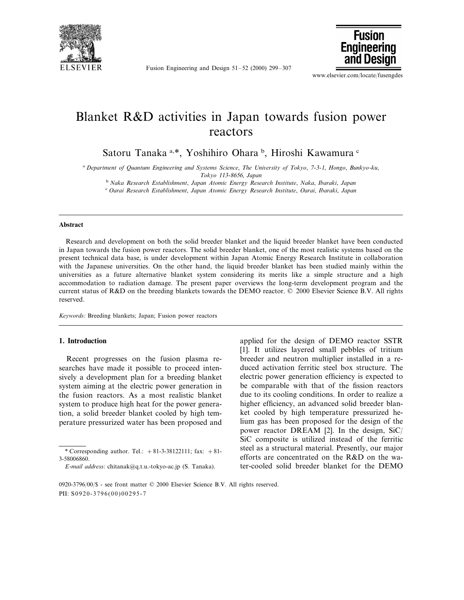

Fusion Engineering and Design 51–52 (2000) 299–307



www.elsevier.com/locate/fusengdes

## Blanket R&D activities in Japan towards fusion power reactors

Satoru Tanaka <sup>a,\*</sup>, Yoshihiro Ohara <sup>b</sup>, Hiroshi Kawamura <sup>c</sup>

<sup>a</sup> *Department of Quantum Engineering and Systems Science*, *The Uni*6*ersity of Tokyo*, <sup>7</sup>-3-1, *Hongo*, *Bunkyo*-*ku*,

*Tokyo* 113-8656, *Japan*

<sup>b</sup> *Naka Research Establishment*, *Japan Atomic Energy Research Institute*, *Naka*, *Ibaraki*, *Japan* <sup>c</sup> *Oarai Research Establishment*, *Japan Atomic Energy Research Institute*, *Oarai*, *Ibaraki*, *Japan*

#### **Abstract**

Research and development on both the solid breeder blanket and the liquid breeder blanket have been conducted in Japan towards the fusion power reactors. The solid breeder blanket, one of the most realistic systems based on the present technical data base, is under development within Japan Atomic Energy Research Institute in collaboration with the Japanese universities. On the other hand, the liquid breeder blanket has been studied mainly within the universities as a future alternative blanket system considering its merits like a simple structure and a high accommodation to radiation damage. The present paper overviews the long-term development program and the current status of R&D on the breeding blankets towards the DEMO reactor. © 2000 Elsevier Science B.V. All rights reserved.

*Keywords*: Breeding blankets; Japan; Fusion power reactors

### **1. Introduction**

Recent progresses on the fusion plasma researches have made it possible to proceed intensively a development plan for a breeding blanket system aiming at the electric power generation in the fusion reactors. As a most realistic blanket system to produce high heat for the power generation, a solid breeder blanket cooled by high temperature pressurized water has been proposed and

applied for the design of DEMO reactor SSTR [1]. It utilizes layered small pebbles of tritium breeder and neutron multiplier installed in a reduced activation ferritic steel box structure. The electric power generation efficiency is expected to be comparable with that of the fission reactors due to its cooling conditions. In order to realize a higher efficiency, an advanced solid breeder blanket cooled by high temperature pressurized helium gas has been proposed for the design of the power reactor DREAM [2]. In the design, SiC/ SiC composite is utilized instead of the ferritic steel as a structural material. Presently, our major efforts are concentrated on the R&D on the water-cooled solid breeder blanket for the DEMO

<sup>\*</sup> Corresponding author. Tel.:  $+81-3-38122111$ ; fax:  $+81-$ 3-58006860.

*E*-*mail address*: chitanak@q.t.u.-tokyo-ac.jp (S. Tanaka).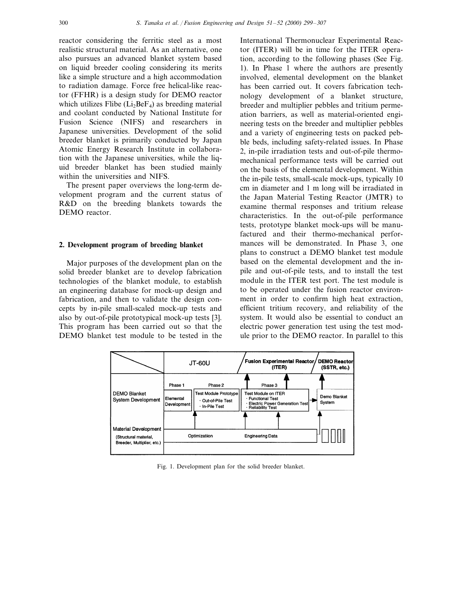reactor considering the ferritic steel as a most realistic structural material. As an alternative, one also pursues an advanced blanket system based on liquid breeder cooling considering its merits like a simple structure and a high accommodation to radiation damage. Force free helical-like reactor (FFHR) is a design study for DEMO reactor which utilizes Flibe  $(Li_2BeF_4)$  as breeding material and coolant conducted by National Institute for Fusion Science (NIFS) and researchers in Japanese universities. Development of the solid breeder blanket is primarily conducted by Japan Atomic Energy Research Institute in collaboration with the Japanese universities, while the liquid breeder blanket has been studied mainly within the universities and NIFS.

The present paper overviews the long-term development program and the current status of R&D on the breeding blankets towards the DEMO reactor.

#### **2. Development program of breeding blanket**

Major purposes of the development plan on the solid breeder blanket are to develop fabrication technologies of the blanket module, to establish an engineering database for mock-up design and fabrication, and then to validate the design concepts by in-pile small-scaled mock-up tests and also by out-of-pile prototypical mock-up tests [3]. This program has been carried out so that the DEMO blanket test module to be tested in the

International Thermonuclear Experimental Reactor (ITER) will be in time for the ITER operation, according to the following phases (See Fig. 1). In Phase 1 where the authors are presently involved, elemental development on the blanket has been carried out. It covers fabrication technology development of a blanket structure, breeder and multiplier pebbles and tritium permeation barriers, as well as material-oriented engineering tests on the breeder and multiplier pebbles and a variety of engineering tests on packed pebble beds, including safety-related issues. In Phase 2, in-pile irradiation tests and out-of-pile thermomechanical performance tests will be carried out on the basis of the elemental development. Within the in-pile tests, small-scale mock-ups, typically 10 cm in diameter and 1 m long will be irradiated in the Japan Material Testing Reactor (JMTR) to examine thermal responses and tritium release characteristics. In the out-of-pile performance tests, prototype blanket mock-ups will be manufactured and their thermo-mechanical performances will be demonstrated. In Phase 3, one plans to construct a DEMO blanket test module based on the elemental development and the inpile and out-of-pile tests, and to install the test module in the ITER test port. The test module is to be operated under the fusion reactor environment in order to confirm high heat extraction, efficient tritium recovery, and reliability of the system. It would also be essential to conduct an electric power generation test using the test module prior to the DEMO reactor. In parallel to this



Fig. 1. Development plan for the solid breeder blanket.